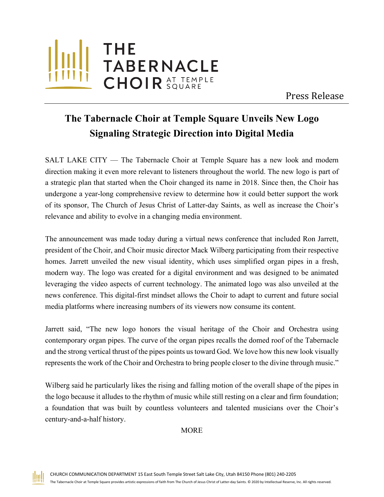

Press Release

## **The Tabernacle Choir at Temple Square Unveils New Logo Signaling Strategic Direction into Digital Media**

SALT LAKE CITY — The Tabernacle Choir at Temple Square has a new look and modern direction making it even more relevant to listeners throughout the world. The new logo is part of a strategic plan that started when the Choir changed its name in 2018. Since then, the Choir has undergone a year-long comprehensive review to determine how it could better support the work of its sponsor, The Church of Jesus Christ of Latter-day Saints, as well as increase the Choir's relevance and ability to evolve in a changing media environment.

The announcement was made today during a virtual news conference that included Ron Jarrett, president of the Choir, and Choir music director Mack Wilberg participating from their respective homes. Jarrett unveiled the new visual identity, which uses simplified organ pipes in a fresh, modern way. The logo was created for a digital environment and was designed to be animated leveraging the video aspects of current technology. The animated logo was also unveiled at the news conference. This digital-first mindset allows the Choir to adapt to current and future social media platforms where increasing numbers of its viewers now consume its content.

Jarrett said, "The new logo honors the visual heritage of the Choir and Orchestra using contemporary organ pipes. The curve of the organ pipes recalls the domed roof of the Tabernacle and the strong vertical thrust of the pipes points us toward God. We love how this new look visually represents the work of the Choir and Orchestra to bring people closer to the divine through music."

Wilberg said he particularly likes the rising and falling motion of the overall shape of the pipes in the logo because it alludes to the rhythm of music while still resting on a clear and firm foundation; a foundation that was built by countless volunteers and talented musicians over the Choir's century-and-a-half history.

MORE